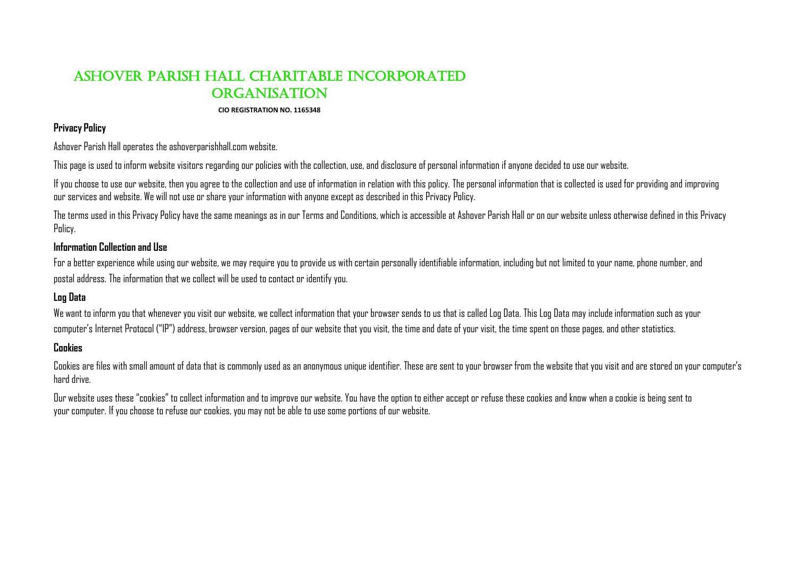# Ashover Parish Hall CHARITABLE incorporated **ORGANISATION**

#### **CIO REGISTRATION NO. 1165348**

#### **Privacy Policy**

Ashover Parish Hall operates the ashoverparishhall.com website.

This page is used to inform website visitors regarding our policies with the collection, use, and disclosure of personal information if anyone decided to use our website.

If you choose to use our website, then you agree to the collection and use of information in relation with this policy. The personal information that is collected is used for providing and improving our services and website. We will not use or share your information with anyone except as described in this Privacy Policy.

The terms used in this Privacy Policy have the same meanings as in our Terms and Conditions, which is accessible at Ashover Parish Hall or on our website unless otherwise defined in this Privacy Policy.

# **Information Collection and Use**

For a better experience while using our website, we may require you to provide us with certain personally identifiable information, including but not limited to your name, phone number, and postal address. The information that we collect will be used to contact or identify you.

# **Log Data**

We want to inform you that whenever you visit our website, we collect information that your browser sends to us that is called Log Data. This Log Data may include information such as your computer's Internet Protocol ("IP") address, browser version, pages of our website that you visit, the time and date of your visit, the time spent on those pages, and other statistics.

### **Cookies**

Cookies are files with small amount of data that is commonly used as an anonymous unique identifier. These are sent to your browser from the website that you visit and are stored on your computer's hard drive.

Our website uses these "cookies" to collect information and to improve our website. You have the option to either accept or refuse these cookies and know when a cookie is being sent to your computer. If you choose to refuse our cookies, you may not be able to use some portions of our website.